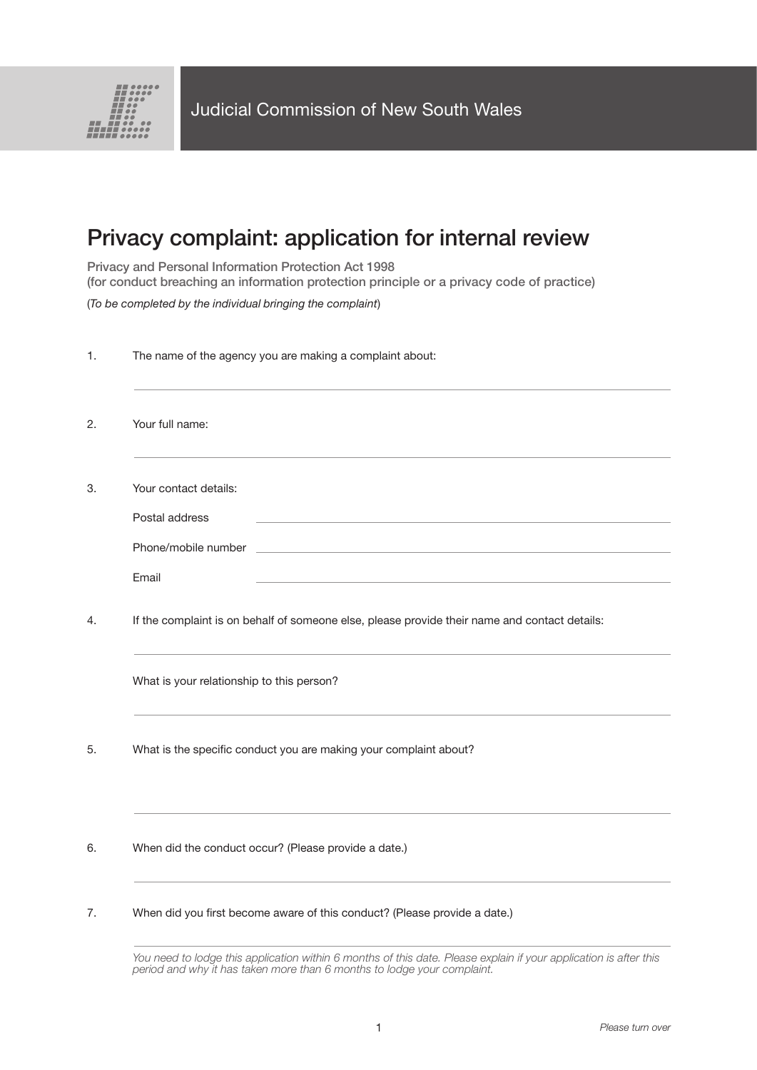

## Privacy complaint: application for internal review

Privacy and Personal Information Protection Act 1998 (for conduct breaching an information protection principle or a privacy code of practice)

(*To be completed by the individual bringing the complaint*)

| 1. | The name of the agency you are making a complaint about:                                      |
|----|-----------------------------------------------------------------------------------------------|
| 2. | Your full name:                                                                               |
| 3. | Your contact details:                                                                         |
|    | Postal address                                                                                |
|    |                                                                                               |
|    | Email                                                                                         |
| 4. | If the complaint is on behalf of someone else, please provide their name and contact details: |
|    | What is your relationship to this person?                                                     |
| 5. | What is the specific conduct you are making your complaint about?                             |
| 6. | When did the conduct occur? (Please provide a date.)                                          |
| 7. | When did you first become aware of this conduct? (Please provide a date.)                     |
|    |                                                                                               |

*You need to lodge this application within 6 months of this date. Please explain if your application is after this period and why it has taken more than 6 months to lodge your complaint.*